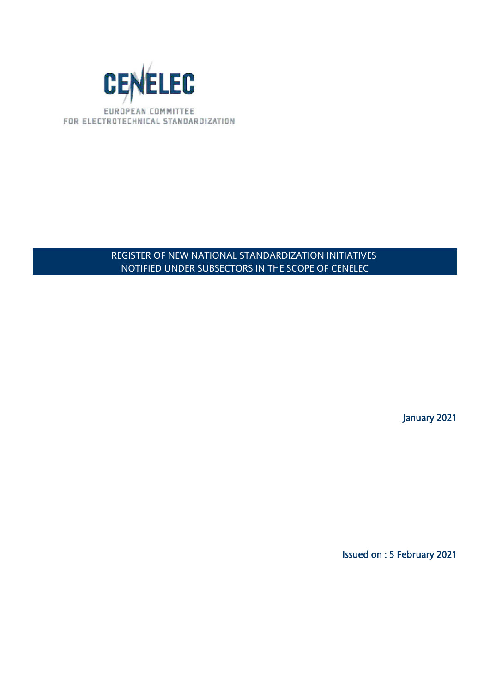

## REGISTER OF NEW NATIONAL STANDARDIZATION INITIATIVES NOTIFIED UNDER SUBSECTORS IN THE SCOPE OF CENELEC

January 2021

Issued on : 5 February 2021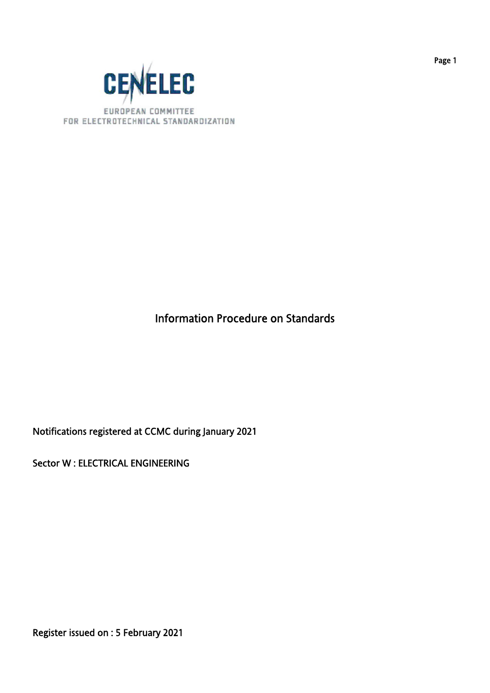

# Information Procedure on Standards

Notifications registered at CCMC during January 2021

Sector W : ELECTRICAL ENGINEERING

Register issued on : 5 February 2021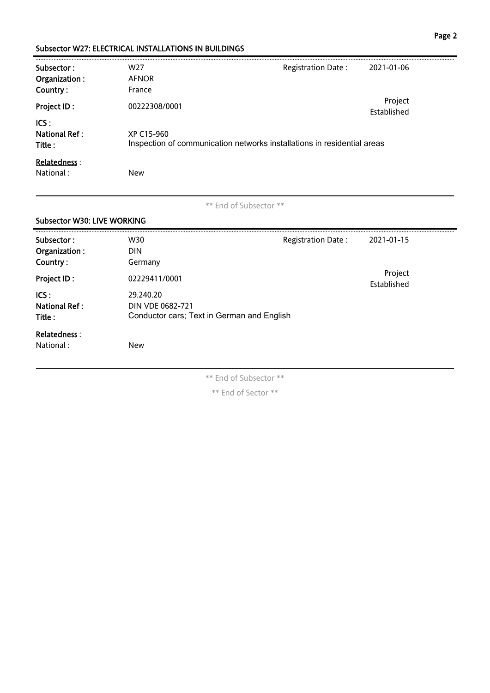#### Subsector W27: ELECTRICAL INSTALLATIONS IN BUILDINGS

| Subsector:<br>Organization :            | W <sub>27</sub><br><b>AFNOR</b>                                                       | Registration Date: | 2021-01-06             |
|-----------------------------------------|---------------------------------------------------------------------------------------|--------------------|------------------------|
| Country:<br>Project ID:                 | France<br>00222308/0001                                                               |                    | Project<br>Established |
| ICS:<br><b>National Ref:</b><br>Title : | XP C15-960<br>Inspection of communication networks installations in residential areas |                    |                        |
| <b>Relatedness:</b><br>National:        | <b>New</b>                                                                            |                    |                        |

\*\* End of Subsector \*\*

## Subsector W30: LIVE WORKING Subsector : W30 W30 Registration Date : 2021-01-15 Organization : DIN Country : Germany Project ID : 02229411/0001<br>Project ID : 02229411/0001 Established ICS : 29.240.20 National Ref: DIN VDE 0682-721 Title : Conductor cars; Text in German and English Relatedness : National : New

\*\* End of Subsector \*\*

\*\* End of Sector \*\*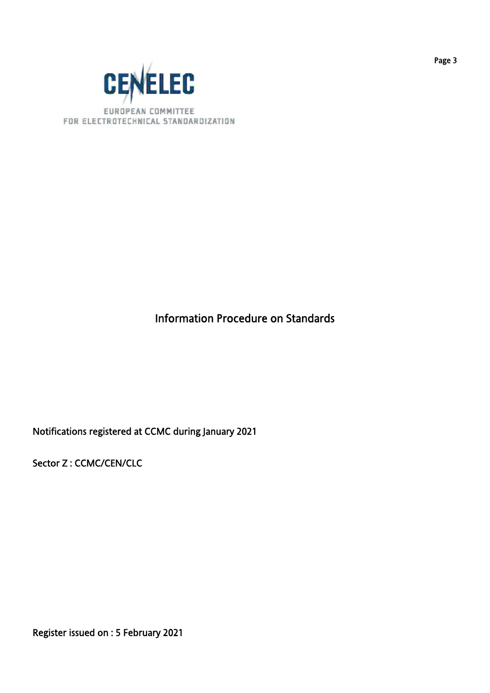

# Information Procedure on Standards

Notifications registered at CCMC during January 2021

Sector Z : CCMC/CEN/CLC

Register issued on : 5 February 2021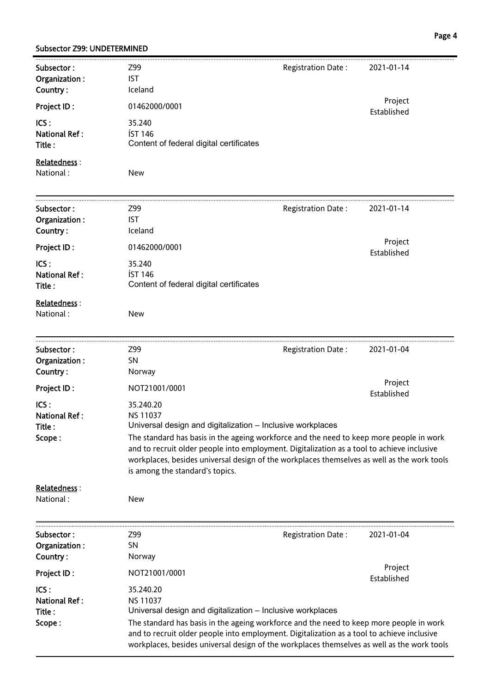#### Subsector Z99: UNDETERMINED

| Subsector:<br>Organization:<br>Country:          | Z99<br><b>IST</b><br>Iceland                                                                                                                                                                                                                                                                                                                                                                                          | Registration Date:  | 2021-01-14             |
|--------------------------------------------------|-----------------------------------------------------------------------------------------------------------------------------------------------------------------------------------------------------------------------------------------------------------------------------------------------------------------------------------------------------------------------------------------------------------------------|---------------------|------------------------|
| Project ID:                                      | 01462000/0001                                                                                                                                                                                                                                                                                                                                                                                                         |                     | Project                |
| ICS:<br><b>National Ref:</b><br>Title:           | 35.240<br><b>ÍST 146</b><br>Content of federal digital certificates                                                                                                                                                                                                                                                                                                                                                   |                     | Established            |
| Relatedness:<br>National:                        | <b>New</b>                                                                                                                                                                                                                                                                                                                                                                                                            |                     |                        |
| Subsector:<br>Organization:<br>Country:          | Z99<br><b>IST</b><br>Iceland                                                                                                                                                                                                                                                                                                                                                                                          | Registration Date : | 2021-01-14             |
| Project ID:                                      | 01462000/0001                                                                                                                                                                                                                                                                                                                                                                                                         |                     | Project<br>Established |
| ICS:<br><b>National Ref:</b><br>Title:           | 35.240<br><b>ÍST 146</b><br>Content of federal digital certificates                                                                                                                                                                                                                                                                                                                                                   |                     |                        |
| Relatedness:<br>National:                        | <b>New</b>                                                                                                                                                                                                                                                                                                                                                                                                            |                     |                        |
| Subsector:<br>Organization:<br>Country:          | Z99<br><b>SN</b><br>Norway                                                                                                                                                                                                                                                                                                                                                                                            | Registration Date:  | 2021-01-04             |
| Project ID:                                      | NOT21001/0001                                                                                                                                                                                                                                                                                                                                                                                                         |                     | Project                |
| ICS:<br><b>National Ref:</b><br>Title:<br>Scope: | 35.240.20<br><b>NS 11037</b><br>Universal design and digitalization - Inclusive workplaces<br>The standard has basis in the ageing workforce and the need to keep more people in work<br>and to recruit older people into employment. Digitalization as a tool to achieve inclusive<br>workplaces, besides universal design of the workplaces themselves as well as the work tools<br>is among the standard's topics. |                     | Established            |
| Relatedness:<br>National:                        | New                                                                                                                                                                                                                                                                                                                                                                                                                   |                     |                        |
| Subsector:<br>Organization:<br>Country:          | Z99<br><b>SN</b><br>Norway                                                                                                                                                                                                                                                                                                                                                                                            | Registration Date:  | 2021-01-04             |
| Project ID:                                      | NOT21001/0001                                                                                                                                                                                                                                                                                                                                                                                                         |                     | Project<br>Established |
| ICS:<br><b>National Ref:</b><br>Title:<br>Scope: | 35.240.20<br><b>NS 11037</b><br>Universal design and digitalization - Inclusive workplaces<br>The standard has basis in the ageing workforce and the need to keep more people in work<br>and to recruit older people into employment. Digitalization as a tool to achieve inclusive<br>workplaces, besides universal design of the workplaces themselves as well as the work tools                                    |                     |                        |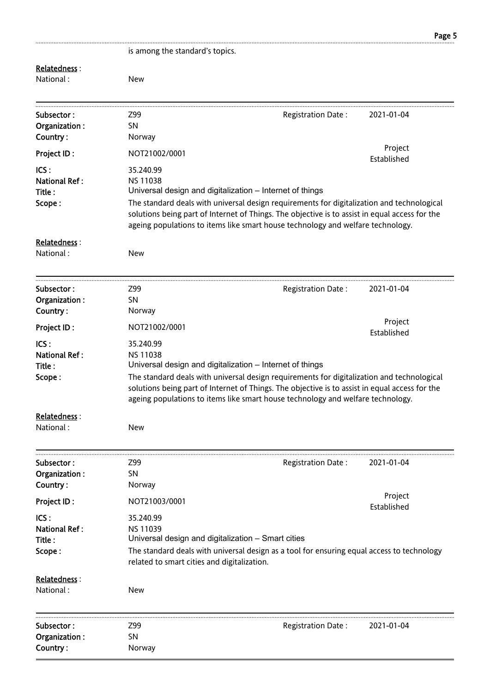|                                                  |                                                                                                                                   |                                                                                                                                                                                                                                                                                 | Page 5                 |
|--------------------------------------------------|-----------------------------------------------------------------------------------------------------------------------------------|---------------------------------------------------------------------------------------------------------------------------------------------------------------------------------------------------------------------------------------------------------------------------------|------------------------|
|                                                  | is among the standard's topics.                                                                                                   |                                                                                                                                                                                                                                                                                 |                        |
| Relatedness:<br>National:                        | <b>New</b>                                                                                                                        |                                                                                                                                                                                                                                                                                 |                        |
| Subsector:<br>Organization:<br>Country:          | Z99<br><b>SN</b><br>Norway                                                                                                        | Registration Date:                                                                                                                                                                                                                                                              | 2021-01-04             |
| Project ID:                                      | NOT21002/0001                                                                                                                     |                                                                                                                                                                                                                                                                                 | Project<br>Established |
| ICS:<br><b>National Ref:</b><br>Title:<br>Scope: | 35.240.99<br><b>NS 11038</b><br>Universal design and digitalization - Internet of things                                          | The standard deals with universal design requirements for digitalization and technological<br>solutions being part of Internet of Things. The objective is to assist in equal access for the<br>ageing populations to items like smart house technology and welfare technology. |                        |
| Relatedness:<br>National:                        | <b>New</b>                                                                                                                        |                                                                                                                                                                                                                                                                                 |                        |
| Subsector:<br>Organization:<br>Country:          | Z99<br><b>SN</b><br>Norway                                                                                                        | Registration Date:                                                                                                                                                                                                                                                              | 2021-01-04             |
| <b>Project ID:</b>                               | NOT21002/0001                                                                                                                     |                                                                                                                                                                                                                                                                                 | Project<br>Established |
| ICS:<br><b>National Ref:</b><br>Title:<br>Scope: | 35.240.99<br><b>NS 11038</b><br>Universal design and digitalization - Internet of things                                          | The standard deals with universal design requirements for digitalization and technological<br>solutions being part of Internet of Things. The objective is to assist in equal access for the<br>ageing populations to items like smart house technology and welfare technology. |                        |
| Relatedness:<br>National:                        | New                                                                                                                               |                                                                                                                                                                                                                                                                                 |                        |
| Subsector:<br>Organization:<br>Country:          | Z99<br><b>SN</b><br>Norway                                                                                                        | Registration Date:                                                                                                                                                                                                                                                              | 2021-01-04             |
| <b>Project ID:</b>                               | NOT21003/0001                                                                                                                     |                                                                                                                                                                                                                                                                                 | Project<br>Established |
| ICS:<br><b>National Ref:</b><br>Title:<br>Scope: | 35.240.99<br><b>NS 11039</b><br>Universal design and digitalization - Smart cities<br>related to smart cities and digitalization. | The standard deals with universal design as a tool for ensuring equal access to technology                                                                                                                                                                                      |                        |
| Relatedness:<br>National:                        | New                                                                                                                               |                                                                                                                                                                                                                                                                                 |                        |
| Subsector:<br>Organization:<br>Country:          | Z99<br><b>SN</b><br>Norway                                                                                                        | Registration Date:                                                                                                                                                                                                                                                              | 2021-01-04             |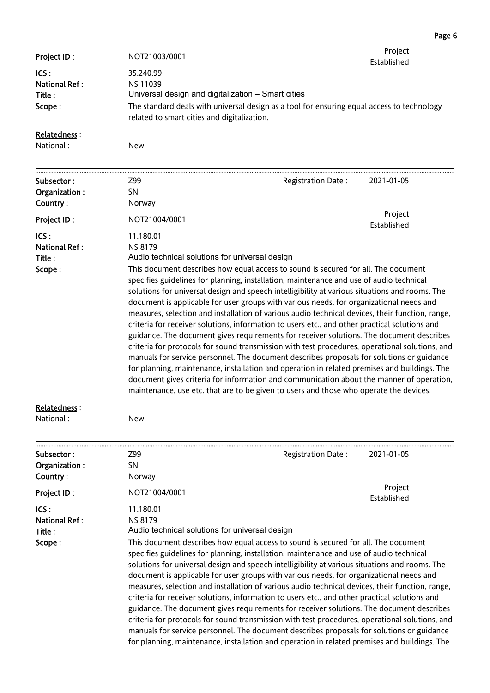|                                                  |                                                                                                                                   |                                                                                                                                                                                                                                                                                                                                                                                                                                                                                                                                                                                                                                                                                                                                                                                                                                                                                                                                                                                                                                                                                                                                                                                                                                  | Page 6                 |
|--------------------------------------------------|-----------------------------------------------------------------------------------------------------------------------------------|----------------------------------------------------------------------------------------------------------------------------------------------------------------------------------------------------------------------------------------------------------------------------------------------------------------------------------------------------------------------------------------------------------------------------------------------------------------------------------------------------------------------------------------------------------------------------------------------------------------------------------------------------------------------------------------------------------------------------------------------------------------------------------------------------------------------------------------------------------------------------------------------------------------------------------------------------------------------------------------------------------------------------------------------------------------------------------------------------------------------------------------------------------------------------------------------------------------------------------|------------------------|
| Project ID:                                      | NOT21003/0001                                                                                                                     |                                                                                                                                                                                                                                                                                                                                                                                                                                                                                                                                                                                                                                                                                                                                                                                                                                                                                                                                                                                                                                                                                                                                                                                                                                  | Project<br>Established |
| ICS:<br><b>National Ref:</b><br>Title:<br>Scope: | 35.240.99<br><b>NS 11039</b><br>Universal design and digitalization - Smart cities<br>related to smart cities and digitalization. | The standard deals with universal design as a tool for ensuring equal access to technology                                                                                                                                                                                                                                                                                                                                                                                                                                                                                                                                                                                                                                                                                                                                                                                                                                                                                                                                                                                                                                                                                                                                       |                        |
| Relatedness:<br>National:                        | <b>New</b>                                                                                                                        |                                                                                                                                                                                                                                                                                                                                                                                                                                                                                                                                                                                                                                                                                                                                                                                                                                                                                                                                                                                                                                                                                                                                                                                                                                  |                        |
| Subsector:<br>Organization:<br>Country:          | Z99<br><b>SN</b><br>Norway                                                                                                        | Registration Date:                                                                                                                                                                                                                                                                                                                                                                                                                                                                                                                                                                                                                                                                                                                                                                                                                                                                                                                                                                                                                                                                                                                                                                                                               | 2021-01-05             |
| Project ID:                                      | NOT21004/0001                                                                                                                     |                                                                                                                                                                                                                                                                                                                                                                                                                                                                                                                                                                                                                                                                                                                                                                                                                                                                                                                                                                                                                                                                                                                                                                                                                                  | Project                |
| ICS:<br><b>National Ref:</b><br>Title:<br>Scope: | 11.180.01<br><b>NS 8179</b>                                                                                                       | Established<br>Audio technical solutions for universal design<br>This document describes how equal access to sound is secured for all. The document<br>specifies guidelines for planning, installation, maintenance and use of audio technical<br>solutions for universal design and speech intelligibility at various situations and rooms. The<br>document is applicable for user groups with various needs, for organizational needs and<br>measures, selection and installation of various audio technical devices, their function, range,<br>criteria for receiver solutions, information to users etc., and other practical solutions and<br>guidance. The document gives requirements for receiver solutions. The document describes<br>criteria for protocols for sound transmission with test procedures, operational solutions, and<br>manuals for service personnel. The document describes proposals for solutions or guidance<br>for planning, maintenance, installation and operation in related premises and buildings. The<br>document gives criteria for information and communication about the manner of operation,<br>maintenance, use etc. that are to be given to users and those who operate the devices. |                        |

### Relatedness :

National : New

| Subsector:           | Z99                                                                                          | <b>Registration Date:</b>                                                                                                                                                                                                                                                                                                                                                                                                                                                                                                                                                                                                                                                                                                                                                                                                                                                                                                   | 2021-01-05  |  |
|----------------------|----------------------------------------------------------------------------------------------|-----------------------------------------------------------------------------------------------------------------------------------------------------------------------------------------------------------------------------------------------------------------------------------------------------------------------------------------------------------------------------------------------------------------------------------------------------------------------------------------------------------------------------------------------------------------------------------------------------------------------------------------------------------------------------------------------------------------------------------------------------------------------------------------------------------------------------------------------------------------------------------------------------------------------------|-------------|--|
| Organization:        | SN.                                                                                          |                                                                                                                                                                                                                                                                                                                                                                                                                                                                                                                                                                                                                                                                                                                                                                                                                                                                                                                             |             |  |
| Country:             | Norway                                                                                       |                                                                                                                                                                                                                                                                                                                                                                                                                                                                                                                                                                                                                                                                                                                                                                                                                                                                                                                             |             |  |
| Project ID:          | NOT21004/0001                                                                                |                                                                                                                                                                                                                                                                                                                                                                                                                                                                                                                                                                                                                                                                                                                                                                                                                                                                                                                             | Project     |  |
|                      |                                                                                              |                                                                                                                                                                                                                                                                                                                                                                                                                                                                                                                                                                                                                                                                                                                                                                                                                                                                                                                             | Established |  |
| ICS:                 | 11.180.01                                                                                    |                                                                                                                                                                                                                                                                                                                                                                                                                                                                                                                                                                                                                                                                                                                                                                                                                                                                                                                             |             |  |
| <b>National Ref:</b> | <b>NS 8179</b>                                                                               |                                                                                                                                                                                                                                                                                                                                                                                                                                                                                                                                                                                                                                                                                                                                                                                                                                                                                                                             |             |  |
| Title:               |                                                                                              |                                                                                                                                                                                                                                                                                                                                                                                                                                                                                                                                                                                                                                                                                                                                                                                                                                                                                                                             |             |  |
| Scope:               | for planning, maintenance, installation and operation in related premises and buildings. The | Audio technical solutions for universal design<br>This document describes how equal access to sound is secured for all. The document<br>specifies guidelines for planning, installation, maintenance and use of audio technical<br>solutions for universal design and speech intelligibility at various situations and rooms. The<br>document is applicable for user groups with various needs, for organizational needs and<br>measures, selection and installation of various audio technical devices, their function, range,<br>criteria for receiver solutions, information to users etc., and other practical solutions and<br>guidance. The document gives requirements for receiver solutions. The document describes<br>criteria for protocols for sound transmission with test procedures, operational solutions, and<br>manuals for service personnel. The document describes proposals for solutions or guidance |             |  |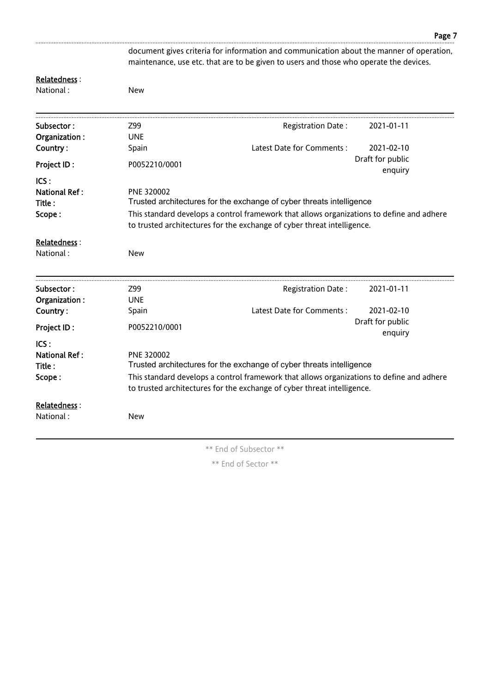document gives criteria for information and communication about the manner of operation, maintenance, use etc. that are to be given to users and those who operate the devices.

#### Relatedness :

National : New

| Subsector:                                       | Z99           | Registration Date:                                                                                                                                                | 2021-01-11                  |
|--------------------------------------------------|---------------|-------------------------------------------------------------------------------------------------------------------------------------------------------------------|-----------------------------|
| Organization:                                    | <b>UNE</b>    |                                                                                                                                                                   |                             |
| Country:                                         | Spain         | Latest Date for Comments:                                                                                                                                         | 2021-02-10                  |
| <b>Project ID:</b>                               | P0052210/0001 |                                                                                                                                                                   | Draft for public            |
|                                                  |               |                                                                                                                                                                   | enquiry                     |
| ICS:<br><b>National Ref:</b><br>Title:<br>Scope: | PNE 320002    | Trusted architectures for the exchange of cyber threats intelligence<br>This standard develops a control framework that allows organizations to define and adhere |                             |
|                                                  |               | to trusted architectures for the exchange of cyber threat intelligence.                                                                                           |                             |
| Relatedness:<br>National:                        | <b>New</b>    |                                                                                                                                                                   |                             |
| Subsector:                                       | Z99           | Registration Date:                                                                                                                                                | 2021-01-11                  |
| Organization:                                    | <b>UNE</b>    |                                                                                                                                                                   |                             |
| Country:                                         | Spain         | Latest Date for Comments:                                                                                                                                         | 2021-02-10                  |
| <b>Project ID:</b>                               | P0052210/0001 |                                                                                                                                                                   | Draft for public<br>enquiry |
| ICS:                                             |               |                                                                                                                                                                   |                             |
| <b>National Ref:</b>                             | PNE 320002    |                                                                                                                                                                   |                             |
| Title:                                           |               | Trusted architectures for the exchange of cyber threats intelligence                                                                                              |                             |
|                                                  |               | This standard develops a control framework that allows organizations to define and adhere                                                                         |                             |
| Scope:                                           |               | to trusted architectures for the exchange of cyber threat intelligence.                                                                                           |                             |
| Relatedness:                                     |               |                                                                                                                                                                   |                             |

\*\* End of Subsector \*\*

\*\* End of Sector \*\*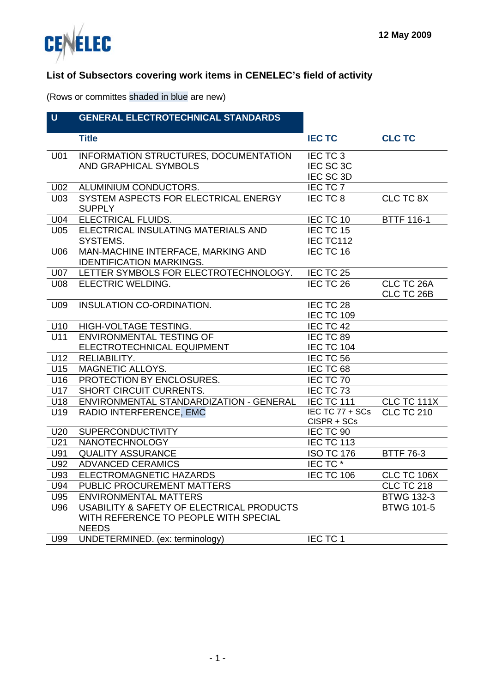



### **List of Subsectors covering work items in CENELEC's field of activity**

(Rows or committes shaded in blue are new)

| <b>GENERAL ELECTROTECHNICAL STANDARDS</b> |
|-------------------------------------------|

|                 | <b>Title</b>                              | <b>IEC TC</b>     | <b>CLC TC</b>     |
|-----------------|-------------------------------------------|-------------------|-------------------|
| U01             | INFORMATION STRUCTURES, DOCUMENTATION     | IEC TC 3          |                   |
|                 | <b>AND GRAPHICAL SYMBOLS</b>              | IEC SC 3C         |                   |
|                 |                                           | IEC SC 3D         |                   |
| U <sub>02</sub> | ALUMINIUM CONDUCTORS.                     | IEC TC 7          |                   |
| U03             | SYSTEM ASPECTS FOR ELECTRICAL ENERGY      | IEC TC 8          | <b>CLC TC 8X</b>  |
|                 | <b>SUPPLY</b>                             |                   |                   |
| U04             | ELECTRICAL FLUIDS.                        | IEC TC 10         | <b>BTTF 116-1</b> |
| U05             | ELECTRICAL INSULATING MATERIALS AND       | IEC TC 15         |                   |
|                 | SYSTEMS.                                  | IEC TC112         |                   |
| U06             | MAN-MACHINE INTERFACE, MARKING AND        | IEC TC 16         |                   |
|                 | <b>IDENTIFICATION MARKINGS.</b>           |                   |                   |
| <b>U07</b>      | LETTER SYMBOLS FOR ELECTROTECHNOLOGY.     | IEC TC 25         |                   |
| U08             | ELECTRIC WELDING.                         | IEC TC 26         | CLC TC 26A        |
|                 |                                           |                   | CLC TC 26B        |
| U09             | INSULATION CO-ORDINATION.                 | IEC TC 28         |                   |
|                 |                                           | <b>IEC TC 109</b> |                   |
| U10             | HIGH-VOLTAGE TESTING.                     | IEC TC 42         |                   |
| U11             | ENVIRONMENTAL TESTING OF                  | IEC TC 89         |                   |
|                 | ELECTROTECHNICAL EQUIPMENT                | <b>IEC TC 104</b> |                   |
| U12             | RELIABILITY.                              | IEC TC 56         |                   |
| U15             | MAGNETIC ALLOYS.                          | IEC TC 68         |                   |
| U16             | PROTECTION BY ENCLOSURES.                 | IEC TC 70         |                   |
| U17             | SHORT CIRCUIT CURRENTS.                   | IEC TC 73         |                   |
| U18             | ENVIRONMENTAL STANDARDIZATION - GENERAL   | <b>IEC TC 111</b> | CLC TC 111X       |
| U19             | RADIO INTERFERENCE, EMC                   | IEC TC 77 + SCs   | <b>CLC TC 210</b> |
|                 |                                           | CISPR + SCs       |                   |
| U20             | <b>SUPERCONDUCTIVITY</b>                  | IEC TC 90         |                   |
| U21             | <b>NANOTECHNOLOGY</b>                     | <b>IEC TC 113</b> |                   |
| U91             | <b>QUALITY ASSURANCE</b>                  | <b>ISO TC 176</b> | <b>BTTF 76-3</b>  |
| U92             | <b>ADVANCED CERAMICS</b>                  | IEC TC*           |                   |
| U93             | ELECTROMAGNETIC HAZARDS                   | <b>IEC TC 106</b> | CLC TC 106X       |
| U94             | PUBLIC PROCUREMENT MATTERS                |                   | <b>CLC TC 218</b> |
| U95             | <b>ENVIRONMENTAL MATTERS</b>              |                   | <b>BTWG 132-3</b> |
| U96             | USABILITY & SAFETY OF ELECTRICAL PRODUCTS |                   | <b>BTWG 101-5</b> |
|                 | WITH REFERENCE TO PEOPLE WITH SPECIAL     |                   |                   |
|                 | <b>NEEDS</b>                              |                   |                   |
| U99             | UNDETERMINED. (ex: terminology)           | IEC TC 1          |                   |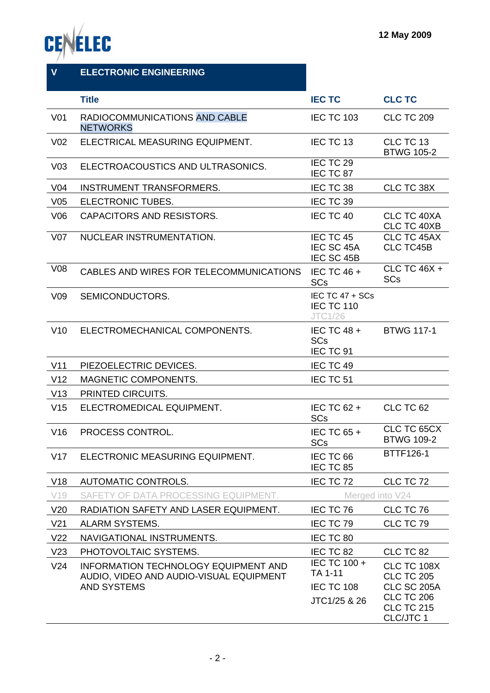

| $\mathbf{V}$    | <b>ELECTRONIC ENGINEERING</b>                                                                                |                                                                          |                                                                                                               |
|-----------------|--------------------------------------------------------------------------------------------------------------|--------------------------------------------------------------------------|---------------------------------------------------------------------------------------------------------------|
|                 | <b>Title</b>                                                                                                 | <b>IEC TC</b>                                                            | <b>CLC TC</b>                                                                                                 |
| V <sub>01</sub> | RADIOCOMMUNICATIONS AND CABLE<br><b>NETWORKS</b>                                                             | <b>IEC TC 103</b>                                                        | <b>CLC TC 209</b>                                                                                             |
| V <sub>02</sub> | ELECTRICAL MEASURING EQUIPMENT.                                                                              | IEC TC 13                                                                | CLC TC 13<br><b>BTWG 105-2</b>                                                                                |
| V <sub>03</sub> | ELECTROACOUSTICS AND ULTRASONICS.                                                                            | IEC TC 29<br>IEC TC 87                                                   |                                                                                                               |
| V <sub>04</sub> | <b>INSTRUMENT TRANSFORMERS.</b>                                                                              | IEC TC 38                                                                | CLC TC 38X                                                                                                    |
| V <sub>05</sub> | ELECTRONIC TUBES.                                                                                            | IEC TC 39                                                                |                                                                                                               |
| V06             | CAPACITORS AND RESISTORS.                                                                                    | IEC TC 40                                                                | CLC TC 40XA<br>CLC TC 40XB                                                                                    |
| V <sub>07</sub> | NUCLEAR INSTRUMENTATION.                                                                                     | IEC TC 45<br>IEC SC 45A<br>IEC SC 45B                                    | CLC TC 45AX<br>CLC TC45B                                                                                      |
| V08             | CABLES AND WIRES FOR TELECOMMUNICATIONS                                                                      | IEC TC $46 +$<br><b>SCs</b>                                              | CLC TC 46X +<br><b>SCs</b>                                                                                    |
| V <sub>09</sub> | SEMICONDUCTORS.                                                                                              | IEC TC 47 + SCs<br><b>IEC TC 110</b><br><b>JTC1/26</b>                   |                                                                                                               |
| V10             | ELECTROMECHANICAL COMPONENTS.                                                                                | IEC TC 48 +<br><b>SCs</b><br>IEC TC 91                                   | <b>BTWG 117-1</b>                                                                                             |
| V11             | PIEZOELECTRIC DEVICES.                                                                                       | IEC TC 49                                                                |                                                                                                               |
| V12             | MAGNETIC COMPONENTS.                                                                                         | IEC TC 51                                                                |                                                                                                               |
| V13             | PRINTED CIRCUITS.                                                                                            |                                                                          |                                                                                                               |
| V15             | ELECTROMEDICAL EQUIPMENT.                                                                                    | IEC TC 62 +<br><b>SCs</b>                                                | CLC TC 62                                                                                                     |
| V16             | <b>PROCESS CONTROL.</b>                                                                                      | IEC TC $65 +$<br><b>SCs</b>                                              | CLC TC 65CX<br><b>BTWG 109-2</b>                                                                              |
| V17             | ELECTRONIC MEASURING EQUIPMENT.                                                                              | IEC TC 66<br>IEC TC 85                                                   | <b>BTTF126-1</b>                                                                                              |
| V18             | AUTOMATIC CONTROLS.                                                                                          | IEC TC 72                                                                | CLC TC 72                                                                                                     |
| V19             | SAFETY OF DATA PROCESSING EQUIPMENT.                                                                         | Merged into V24                                                          |                                                                                                               |
| V <sub>20</sub> | RADIATION SAFETY AND LASER EQUIPMENT.                                                                        | IEC TC 76                                                                | CLC TC 76                                                                                                     |
| V <sub>21</sub> | <b>ALARM SYSTEMS.</b>                                                                                        | IEC TC 79                                                                | CLC TC 79                                                                                                     |
| V <sub>22</sub> | NAVIGATIONAL INSTRUMENTS.                                                                                    | IEC TC 80                                                                |                                                                                                               |
| V23             | PHOTOVOLTAIC SYSTEMS.                                                                                        | IEC TC 82                                                                | CLC TC 82                                                                                                     |
| V <sub>24</sub> | <b>INFORMATION TECHNOLOGY EQUIPMENT AND</b><br>AUDIO, VIDEO AND AUDIO-VISUAL EQUIPMENT<br><b>AND SYSTEMS</b> | $\overline{IC}$ TC 100 +<br>TA 1-11<br><b>IEC TC 108</b><br>JTC1/25 & 26 | CLC TC 108X<br><b>CLC TC 205</b><br><b>CLC SC 205A</b><br><b>CLC TC 206</b><br><b>CLC TC 215</b><br>CLC/JTC 1 |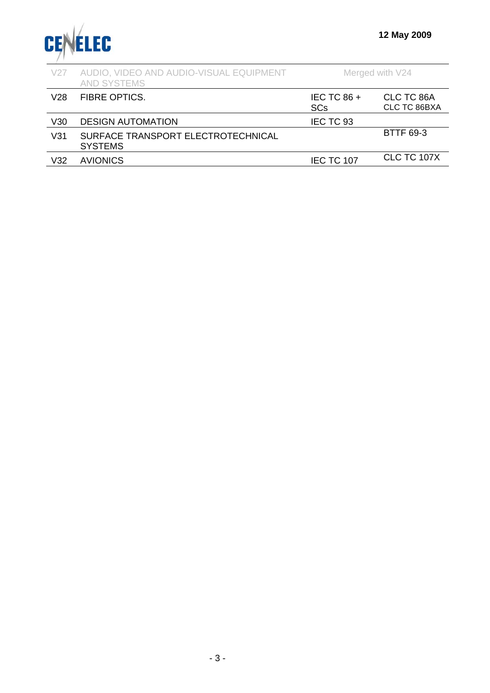

| V27             | AUDIO, VIDEO AND AUDIO-VISUAL EQUIPMENT<br><b>AND SYSTEMS</b> |                           | Merged with V24            |
|-----------------|---------------------------------------------------------------|---------------------------|----------------------------|
| V28             | <b>FIBRE OPTICS.</b>                                          | IEC TC 86 +<br><b>SCs</b> | CLC TC 86A<br>CLC TC 86BXA |
| V30             | <b>DESIGN AUTOMATION</b>                                      | IEC TC 93                 |                            |
| V <sub>31</sub> | SURFACE TRANSPORT ELECTROTECHNICAL<br><b>SYSTEMS</b>          |                           | <b>BTTF 69-3</b>           |
| V <sub>32</sub> | <b>AVIONICS</b>                                               | <b>IEC TC 107</b>         | <b>CLC TC 107X</b>         |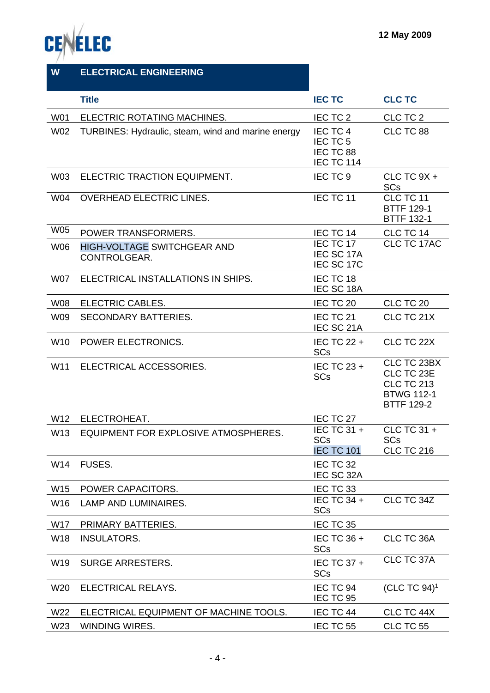



| W               | <b>ELECTRICAL ENGINEERING</b>                      |                                                 |                                                                                          |
|-----------------|----------------------------------------------------|-------------------------------------------------|------------------------------------------------------------------------------------------|
|                 | <b>Title</b>                                       | <b>IEC TC</b>                                   | <b>CLC TC</b>                                                                            |
| W01             | ELECTRIC ROTATING MACHINES.                        | IEC TC 2                                        | CLC TC 2                                                                                 |
| W02             | TURBINES: Hydraulic, steam, wind and marine energy | IEC TC 4<br>IEC TC 5<br>IEC TC 88<br>IEC TC 114 | CLC TC 88                                                                                |
| W03             | ELECTRIC TRACTION EQUIPMENT.                       | IEC TC 9                                        | CLC TC $9X +$<br><b>SCs</b>                                                              |
| W04             | <b>OVERHEAD ELECTRIC LINES.</b>                    | IEC TC 11                                       | CLC TC 11<br><b>BTTF 129-1</b><br><b>BTTF 132-1</b>                                      |
| <b>W05</b>      | POWER TRANSFORMERS.                                | IEC TC 14                                       | CLC TC 14                                                                                |
| <b>W06</b>      | <b>HIGH-VOLTAGE SWITCHGEAR AND</b><br>CONTROLGEAR. | IEC TC 17<br>IEC SC 17A<br>IEC SC 17C           | <b>CLC TC 17AC</b>                                                                       |
| W07             | ELECTRICAL INSTALLATIONS IN SHIPS.                 | IEC TC 18<br>IEC SC 18A                         |                                                                                          |
| <b>W08</b>      | ELECTRIC CABLES.                                   | IEC TC 20                                       | CLC TC 20                                                                                |
| W09             | <b>SECONDARY BATTERIES.</b>                        | IEC TC 21<br>IEC SC 21A                         | CLC TC 21X                                                                               |
| W <sub>10</sub> | POWER ELECTRONICS.                                 | IEC TC $22 +$<br><b>SCs</b>                     | CLC TC 22X                                                                               |
| W11             | ELECTRICAL ACCESSORIES.                            | IEC TC 23 +<br><b>SCs</b>                       | CLC TC 23BX<br>CLC TC 23E<br><b>CLC TC 213</b><br><b>BTWG 112-1</b><br><b>BTTF 129-2</b> |
| W12             | ELECTROHEAT.                                       | IEC TC 27                                       |                                                                                          |
| W <sub>13</sub> | EQUIPMENT FOR EXPLOSIVE ATMOSPHERES                | IEC TC 31 +<br><b>SCs</b><br><b>IEC TC 101</b>  | CLC TC 31 +<br><b>SCs</b><br><b>CLC TC 216</b>                                           |
| W14             | FUSES.                                             | IEC TC 32<br>IEC SC 32A                         |                                                                                          |
| W15             | POWER CAPACITORS.                                  | IEC TC 33                                       |                                                                                          |
| W16             | <b>LAMP AND LUMINAIRES.</b>                        | IEC TC 34 +<br><b>SCs</b>                       | CLC TC 34Z                                                                               |
| W17             | PRIMARY BATTERIES.                                 | IEC TC 35                                       |                                                                                          |
| W18             | <b>INSULATORS.</b>                                 | IEC TC 36 +<br><b>SCs</b>                       | CLC TC 36A                                                                               |
| W <sub>19</sub> | <b>SURGE ARRESTERS.</b>                            | IEC TC 37 +<br><b>SCs</b>                       | CLC TC 37A                                                                               |
| W20             | ELECTRICAL RELAYS.                                 | IEC TC 94<br>IEC TC 95                          | (CLC TC $94$ ) <sup>1</sup>                                                              |
| W22             | ELECTRICAL EQUIPMENT OF MACHINE TOOLS.             | IEC TC 44                                       | CLC TC 44X                                                                               |
| W23             | WINDING WIRES.                                     | IEC TC 55                                       | CLC TC 55                                                                                |